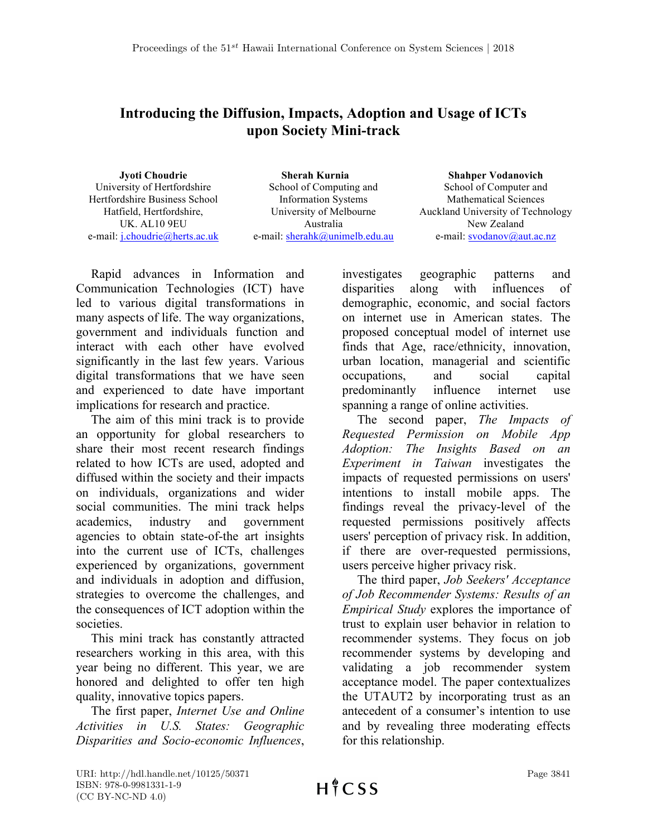## **Introducing the Diffusion, Impacts, Adoption and Usage of ICTs upon Society Mini-track**

**Jyoti Choudrie** University of Hertfordshire Hertfordshire Business School Hatfield, Hertfordshire, UK. AL10 9EU e-mail: j.choudrie@herts.ac.uk

 **Sherah Kurnia**  School of Computing and Information Systems University of Melbourne Australia e-mail: sherahk@unimelb.edu.au **Shahper Vodanovich**

School of Computer and Mathematical Sciences Auckland University of Technology New Zealand e-mail: svodanov@aut.ac.nz

Rapid advances in Information and Communication Technologies (ICT) have led to various digital transformations in many aspects of life. The way organizations, government and individuals function and interact with each other have evolved significantly in the last few years. Various digital transformations that we have seen and experienced to date have important implications for research and practice.

The aim of this mini track is to provide an opportunity for global researchers to share their most recent research findings related to how ICTs are used, adopted and diffused within the society and their impacts on individuals, organizations and wider social communities. The mini track helps academics, industry and government agencies to obtain state-of-the art insights into the current use of ICTs, challenges experienced by organizations, government and individuals in adoption and diffusion, strategies to overcome the challenges, and the consequences of ICT adoption within the societies.

This mini track has constantly attracted researchers working in this area, with this year being no different. This year, we are honored and delighted to offer ten high quality, innovative topics papers.

The first paper, *Internet Use and Online Activities in U.S. States: Geographic Disparities and Socio-economic Influences*,

investigates geographic patterns and disparities along with influences of demographic, economic, and social factors on internet use in American states. The proposed conceptual model of internet use finds that Age, race/ethnicity, innovation, urban location, managerial and scientific occupations, and social capital predominantly influence internet use spanning a range of online activities.

The second paper, *The Impacts of Requested Permission on Mobile App Adoption: The Insights Based on an Experiment in Taiwan* investigates the impacts of requested permissions on users' intentions to install mobile apps. The findings reveal the privacy-level of the requested permissions positively affects users' perception of privacy risk. In addition, if there are over-requested permissions, users perceive higher privacy risk.

The third paper, *Job Seekers' Acceptance of Job Recommender Systems: Results of an Empirical Study* explores the importance of trust to explain user behavior in relation to recommender systems. They focus on job recommender systems by developing and validating a job recommender system acceptance model. The paper contextualizes the UTAUT2 by incorporating trust as an antecedent of a consumer's intention to use and by revealing three moderating effects for this relationship.

URI: http://hdl.handle.net/10125/50371 ISBN: 978-0-9981331-1-9 (CC BY-NC-ND 4.0)